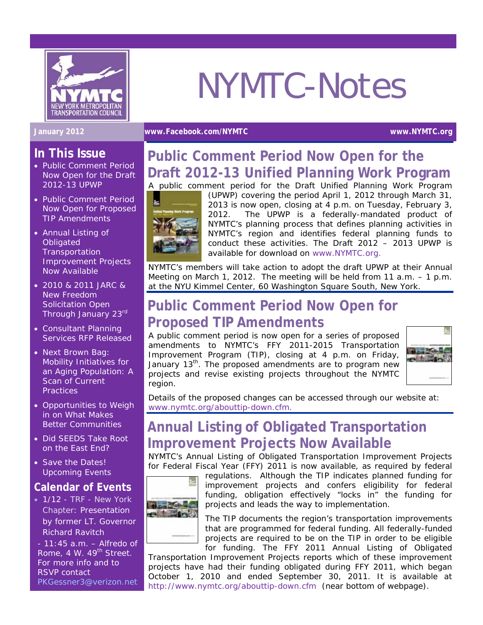

# NYMTC-Notes

#### **January 2012 [www.Facebook.com/NYMTC](http://www.facebook.com/NYMTC) www.NYMTC.org**

#### **In This Issue**

- Public Comment Period Now Open for the Draft 2012-13 UPWP
- Public Comment Period Now Open for Proposed TIP Amendments
- Annual Listing of **Obligated Transportation** Improvement Projects Now Available
- 2010 & 2011 JARC & New Freedom Solicitation Open Through January 23rd
- Consultant Planning Services RFP Released
- Next Brown Bag: Mobility Initiatives for an Aging Population: A Scan of Current **Practices**
- Opportunities to Weigh in on What Makes Better Communities
- Did SEEDS Take Root on the East End?
- Save the Dates! Upcoming Events

#### **Calendar of Events**

• 1/12 - *TRF - New York Chapter*: Presentation by former LT. Governor Richard Ravitch

- 11:45 a.m. – Alfredo of Rome, 4 W. 49<sup>th</sup> Street. For more info and to RSVP contact [PKGessner3@verizon.net](mailto:PKGessner3@verizon.net)

## **Public Comment Period Now Open for the Draft 2012-13 Unified Planning Work Program**

A public comment period for the Draft Unified Planning Work Program



(UPWP) covering the period April 1, 2012 through March 31, 2013 is now open, closing at 4 p.m. on Tuesday, February 3, 2012. The UPWP is a federally-mandated product of NYMTC's planning process that defines planning activities in NYMTC's region and identifies federal planning funds to conduct these activities. The Draft 2012 – 2013 UPWP is available for download on [www.NYMTC.org.](http://www.nymtc.org/)

NYMTC's members will take action to adopt the draft UPWP at their Annual Meeting on March 1, 2012. The meeting will be held from 11 a.m. – 1 p.m. at the NYU Kimmel Center, 60 Washington Square South, New York.

## **Public Comment Period Now Open for Proposed TIP Amendments**

A public comment period is now open for a series of proposed amendments to NYMTC's FFY 2011-2015 Transportation Improvement Program (TIP), closing at 4 p.m. on Friday, January 13<sup>th</sup>. The proposed amendments are to program new projects and revise existing projects throughout the NYMTC region.



Details of the proposed changes can be accessed through our website at: [www.nymtc.org/abouttip-down.cfm](http://www.nymtc.org/abouttip-down.cfm).

## **Annual Listing of Obligated Transportation Improvement Projects Now Available**

NYMTC's *Annual Listing of Obligated Transportation Improvement Projects* for Federal Fiscal Year (FFY) 2011 is now available*,* as required by federal



regulations. Although the TIP indicates planned funding for improvement projects and confers eligibility for federal funding, obligation effectively "locks in" the funding for projects and leads the way to implementation.

The TIP documents the region's transportation improvements that are programmed for federal funding. All federally-funded projects are required to be on the TIP in order to be eligible for funding. The *FFY 2011 Annual Listing of Obligated* 

*Transportation Improvement Projects* reports which of these improvement projects have had their funding obligated during FFY 2011, which began October 1, 2010 and ended September 30, 2011. It is available at <http://www.nymtc.org/abouttip-down.cfm> (near bottom of webpage).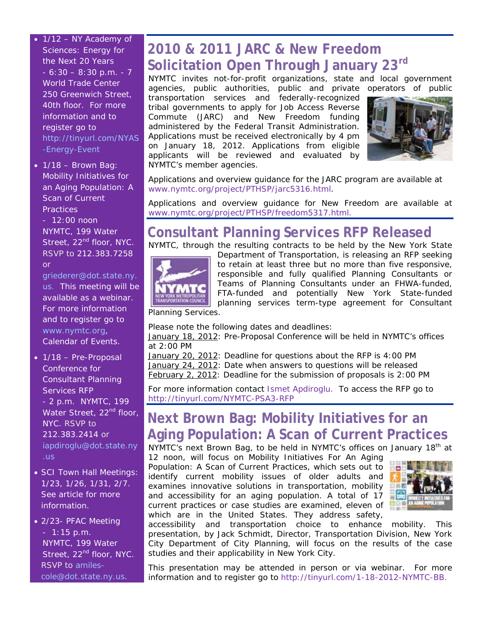- $1/12$  NY Academy of Sciences: Energy for the Next 20 Years  $-6:30 - 8:30$  p.m.  $-7$ World Trade Center 250 Greenwich Street, 40th floor. For more information and to register go to [http://tinyurl.com/NYAS](http://tinyurl.com/NYAS-Energy-Event) [-Energy-Event](http://tinyurl.com/NYAS-Energy-Event)
- $\bullet$  1/18 Brown Bag: Mobility Initiatives for an Aging Population: A Scan of Current **Practices**

- 12:00 noon NYMTC, 199 Water Street, 22<sup>nd</sup> floor, NYC. RSVP to 212.383.7258 or

[griederer@dot.state.ny.](mailto:griederer@dot.state.ny.us) [us.](mailto:griederer@dot.state.ny.us) This meeting will be available as a webinar. For more information and to register go to [www.nymtc.org,](http://www.nymtc.org/) Calendar of Events.

- 1/18 Pre-Proposal Conference for Consultant Planning Services RFP - 2 p.m. NYMTC, 199 Water Street, 22<sup>nd</sup> floor, NYC. RSVP to 212.383.2414 or [iapdiroglu@dot.state.ny](mailto:iapdiroglu@dot.state.ny.us) [.us](mailto:iapdiroglu@dot.state.ny.us)
- SCI Town Hall Meetings: 1/23, 1/26, 1/31, 2/7. See article for more information.

• 2/23- PFAC Meeting - 1:15 p.m. NYMTC, 199 Water Street, 22<sup>nd</sup> floor, NYC. RSVP to [amiles](mailto:amiles-cole@dot.state.ny.us)[cole@dot.state.ny.us](mailto:amiles-cole@dot.state.ny.us).

## **2010 & 2011 JARC & New Freedom Solicitation Open Through January 23rd**

NYMTC invites not-for-profit organizations, state and local government agencies, public authorities, public and private operators of public

transportation services and federally-recognized tribal governments to apply for Job Access Reverse Commute (JARC) and New Freedom funding administered by the Federal Transit Administration. Applications must be received electronically by 4 pm on January 18, 2012. Applications from eligible applicants will be reviewed and evaluated by NYMTC's member agencies.



Applications and overview guidance for the JARC program are available at [www.nymtc.org/project/PTHSP/jarc5316.html.](http://www.nymtc.org/project/PTHSP/jarc5316.html)

Applications and overview guidance for New Freedom are available at [www.nymtc.org/project/PTHSP/freedom5317.html.](http://www.nymtc.org/project/PTHSP/freedom5317.html)

# **Consultant Planning Services RFP Released**

NYMTC, through the resulting contracts to be held by the New York State



Department of Transportation, is releasing an RFP seeking to retain at least three but no more than five responsive, responsible and fully qualified Planning Consultants or Teams of Planning Consultants under an FHWA-funded, FTA-funded and potentially New York State-funded planning services term-type agreement for Consultant

Planning Services.

Please note the following dates and deadlines:

January 18, 2012: Pre-Proposal Conference will be held in NYMTC's offices at 2:00 PM

January 20, 2012: Deadline for questions about the RFP is 4:00 PM January 24, 2012: Date when answers to questions will be released February 2, 2012: Deadline for the submission of proposals is 2:00 PM

For more information contact [Ismet Apdiroglu.](mailto:iapdiroglu@dot.state.ny.us) To access the RFP go to http://tinyurl.com/NYMTC-PSA3-RFP

# **Next Brown Bag: Mobility Initiatives for an Aging Population: A Scan of Current Practices**

NYMTC's next Brown Bag, to be held in NYMTC's offices on January 18<sup>th</sup> at

12 noon, will focus on *Mobility Initiatives For An Aging Population: A Scan of Current Practices,* which sets out to identify current mobility issues of older adults and examines innovative solutions in transportation, mobility and accessibility for an aging population. A total of 17 current practices or case studies are examined, eleven of which are in the United States. They address safety,



accessibility and transportation choice to enhance mobility. This presentation, by Jack Schmidt, Director, Transportation Division, New York City Department of City Planning, will focus on the results of the case studies and their applicability in New York City.

This presentation may be attended in person or via webinar. For more information and to register go to<http://tinyurl.com/1-18-2012-NYMTC-BB>.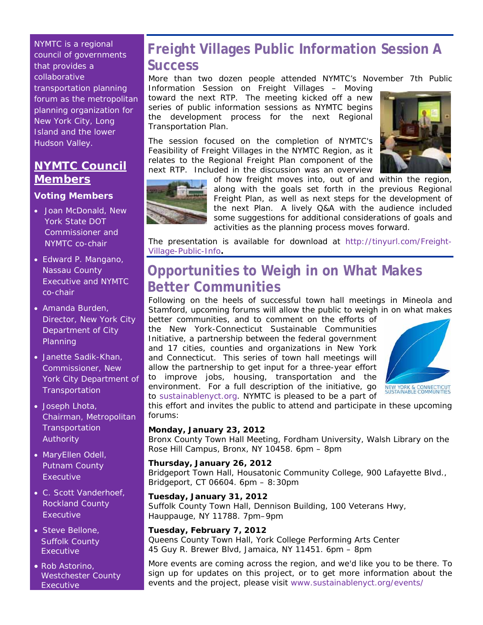NYMTC is a regional council of governments that provides a collaborative transportation planning forum as the metropolitan planning organization for New York City, Long Island and the lower Hudson Valley.

### **NYMTC Council Members**

#### **Voting Members**

- Joan McDonald, New York State DOT Commissioner and NYMTC co-chair
- Edward P. Mangano, Nassau County Executive and NYMTC co-chair
- Amanda Burden, Director, New York City Department of City Planning
- Janette Sadik-Khan, Commissioner, New York City Department of **Transportation**
- Joseph Lhota, Chairman, Metropolitan **Transportation** Authority
- MaryEllen Odell, Putnam County Executive
- C. Scott Vanderhoef, Rockland County Executive
- Steve Bellone, Suffolk County Executive
- Rob Astorino, Westchester County **Executive**

## **Freight Villages Public Information Session A Success**

More than two dozen people attended NYMTC's November 7th Public

Information Session on *Freight Villages – Moving toward the next RTP*.The meeting kicked off a new series of public information sessions as NYMTC begins the development process for the next Regional Transportation Plan.

The session focused on the completion of NYMTC's Feasibility of Freight Villages in the NYMTC Region, as it relates to the Regional Freight Plan component of the next RTP. Included in the discussion was an overview





of how freight moves into, out of and within the region, along with the goals set forth in the previous Regional Freight Plan, as well as next steps for the development of the next Plan. A lively Q&A with the audience included some suggestions for additional considerations of goals and activities as the planning process moves forward.

The presentation is available for download at [http://tinyurl.com/Freight-](http://tinyurl.com/Freight-Village-Public-Info)[Village-Public-Info](http://tinyurl.com/Freight-Village-Public-Info)**.** 

## **Opportunities to Weigh in on What Makes Better Communities**

Following on the heels of successful town hall meetings in Mineola and Stamford, upcoming forums will allow the public to weigh in on what makes

better communities, and to comment on the efforts of the New York-Connecticut Sustainable Communities Initiative, a partnership between the federal government and 17 cities, counties and organizations in New York and Connecticut. This series of town hall meetings will allow the partnership to get input for a three-year effort to improve jobs, housing, transportation and the environment. For a full description of the initiative, go to [sustainablenyct.org.](http://sustainablenyct.org/) NYMTC is pleased to be a part of



this effort and invites the public to attend and participate in these upcoming forums:

#### **Monday, January 23, 2012**

Bronx County Town Hall Meeting, Fordham University, Walsh Library on the Rose Hill Campus, Bronx, NY 10458. 6pm – 8pm

#### **Thursday, January 26, 2012**

Bridgeport Town Hall, Housatonic Community College, 900 Lafayette Blvd., Bridgeport, CT 06604. 6pm – 8:30pm

#### **Tuesday, January 31, 2012**

Suffolk County Town Hall, Dennison Building, 100 Veterans Hwy, Hauppauge, NY 11788. 7pm–9pm

#### **Tuesday, February 7, 2012**

Queens County Town Hall, York College Performing Arts Center 45 Guy R. Brewer Blvd, Jamaica, NY 11451. 6pm – 8pm

More events are coming across the region, and we'd like you to be there. To sign up for updates on this project, or to get more information about the events and the project, please visit [www.sustainablenyct.org/events/](http://www.sustainablenyct.org/events/)